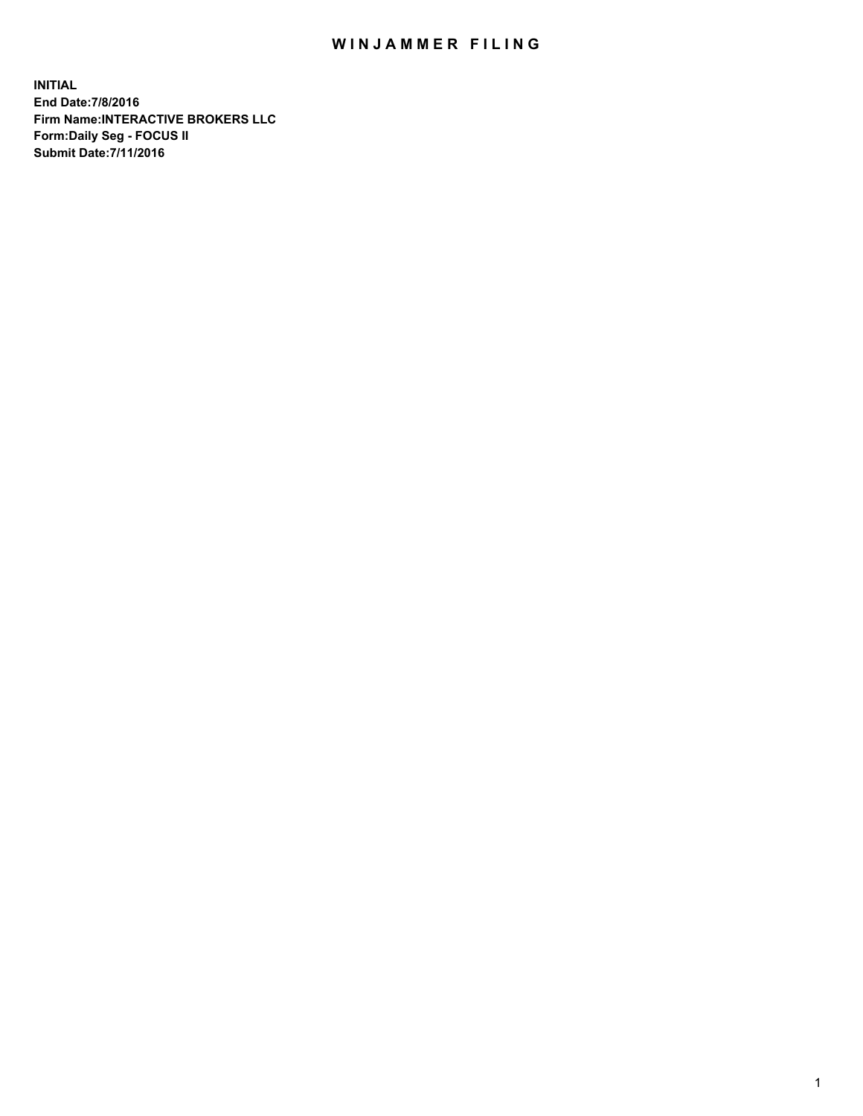## WIN JAMMER FILING

**INITIAL End Date:7/8/2016 Firm Name:INTERACTIVE BROKERS LLC Form:Daily Seg - FOCUS II Submit Date:7/11/2016**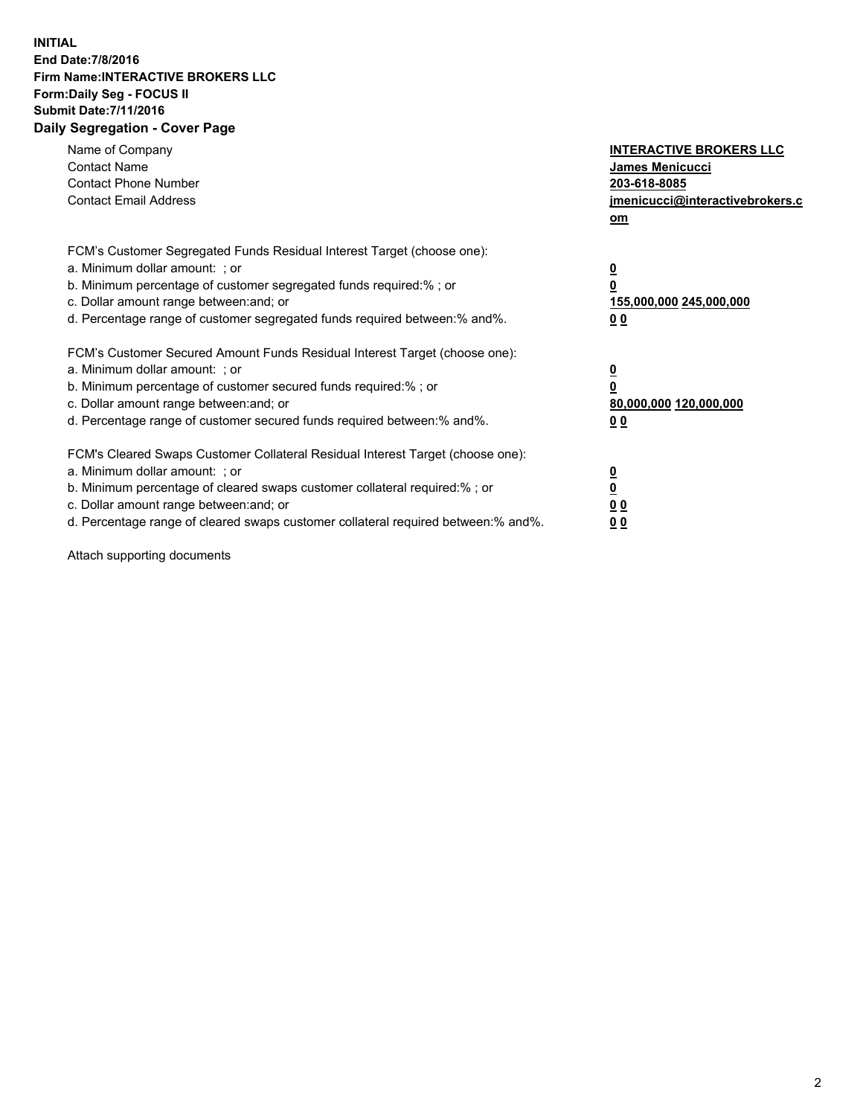## **INITIAL End Date:7/8/2016 Firm Name:INTERACTIVE BROKERS LLC Form:Daily Seg - FOCUS II Submit Date:7/11/2016 Daily Segregation - Cover Page**

| Name of Company<br><b>Contact Name</b><br><b>Contact Phone Number</b><br><b>Contact Email Address</b>                                                                                                                                                                                                                          | <b>INTERACTIVE BROKERS LLC</b><br><b>James Menicucci</b><br>203-618-8085<br>jmenicucci@interactivebrokers.c<br>om |
|--------------------------------------------------------------------------------------------------------------------------------------------------------------------------------------------------------------------------------------------------------------------------------------------------------------------------------|-------------------------------------------------------------------------------------------------------------------|
| FCM's Customer Segregated Funds Residual Interest Target (choose one):<br>a. Minimum dollar amount: ; or<br>b. Minimum percentage of customer segregated funds required:% ; or<br>c. Dollar amount range between: and; or<br>d. Percentage range of customer segregated funds required between: % and %.                       | $\overline{\mathbf{0}}$<br>0<br>155,000,000 245,000,000<br>00                                                     |
| FCM's Customer Secured Amount Funds Residual Interest Target (choose one):<br>a. Minimum dollar amount: ; or<br>b. Minimum percentage of customer secured funds required:%; or<br>c. Dollar amount range between: and; or<br>d. Percentage range of customer secured funds required between: % and %.                          | $\overline{\mathbf{0}}$<br>0<br>80,000,000 120,000,000<br>00                                                      |
| FCM's Cleared Swaps Customer Collateral Residual Interest Target (choose one):<br>a. Minimum dollar amount: ; or<br>b. Minimum percentage of cleared swaps customer collateral required:% ; or<br>c. Dollar amount range between: and; or<br>d. Percentage range of cleared swaps customer collateral required between:% and%. | $\overline{\mathbf{0}}$<br>$\overline{\mathbf{0}}$<br>00<br>0 <sub>0</sub>                                        |

Attach supporting documents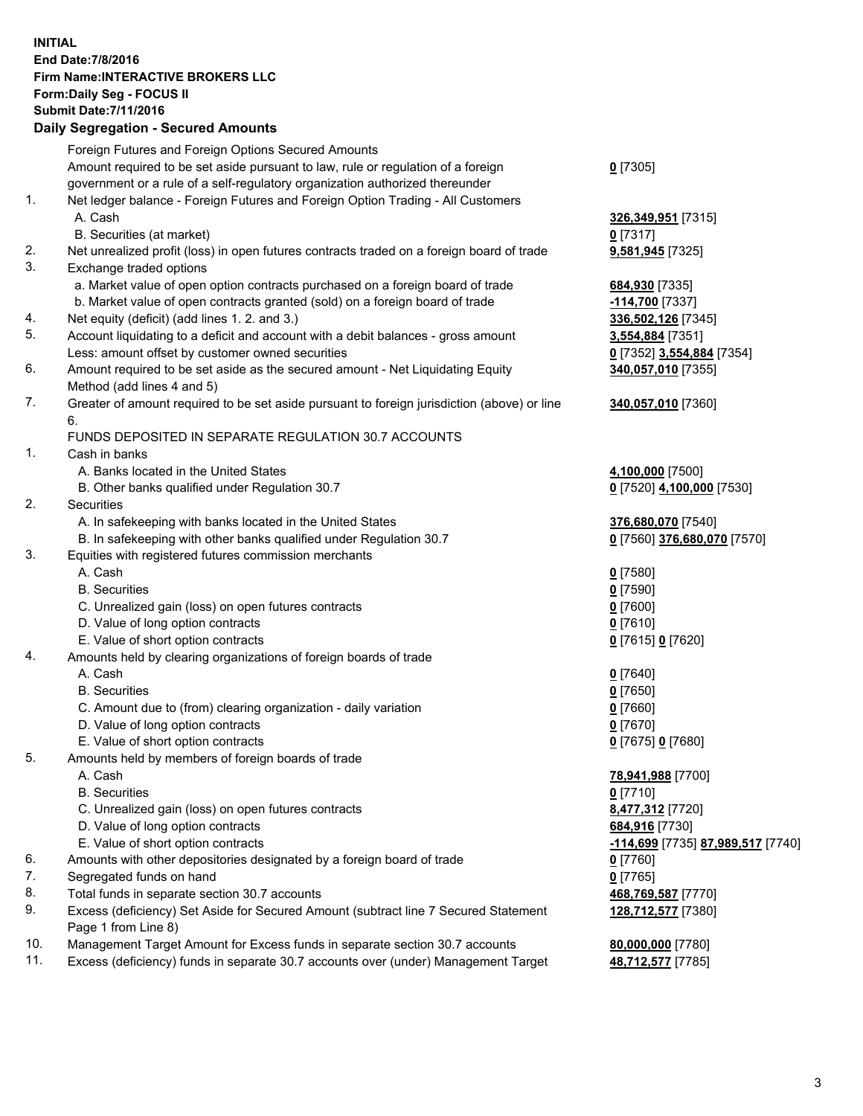## **INITIAL End Date:7/8/2016 Firm Name:INTERACTIVE BROKERS LLC Form:Daily Seg - FOCUS II Submit Date:7/11/2016 Daily Segregation - Secured Amounts**

|     | Foreign Futures and Foreign Options Secured Amounts                                                        |                                   |
|-----|------------------------------------------------------------------------------------------------------------|-----------------------------------|
|     | Amount required to be set aside pursuant to law, rule or regulation of a foreign                           | $0$ [7305]                        |
|     | government or a rule of a self-regulatory organization authorized thereunder                               |                                   |
| 1.  | Net ledger balance - Foreign Futures and Foreign Option Trading - All Customers                            |                                   |
|     | A. Cash                                                                                                    | 326,349,951 [7315]                |
|     | B. Securities (at market)                                                                                  | $0$ [7317]                        |
| 2.  | Net unrealized profit (loss) in open futures contracts traded on a foreign board of trade                  | 9,581,945 [7325]                  |
| 3.  | Exchange traded options                                                                                    |                                   |
|     | a. Market value of open option contracts purchased on a foreign board of trade                             | 684,930 [7335]                    |
|     | b. Market value of open contracts granted (sold) on a foreign board of trade                               | -114,700 [7337]                   |
| 4.  | Net equity (deficit) (add lines 1. 2. and 3.)                                                              | 336,502,126 [7345]                |
| 5.  | Account liquidating to a deficit and account with a debit balances - gross amount                          | 3,554,884 [7351]                  |
|     | Less: amount offset by customer owned securities                                                           | 0 [7352] 3,554,884 [7354]         |
| 6.  | Amount required to be set aside as the secured amount - Net Liquidating Equity                             | 340,057,010 [7355]                |
|     | Method (add lines 4 and 5)                                                                                 |                                   |
| 7.  | Greater of amount required to be set aside pursuant to foreign jurisdiction (above) or line                | 340,057,010 [7360]                |
|     | 6.                                                                                                         |                                   |
|     | FUNDS DEPOSITED IN SEPARATE REGULATION 30.7 ACCOUNTS                                                       |                                   |
| 1.  | Cash in banks                                                                                              |                                   |
|     | A. Banks located in the United States                                                                      | 4,100,000 [7500]                  |
|     | B. Other banks qualified under Regulation 30.7                                                             | 0 [7520] 4,100,000 [7530]         |
| 2.  | Securities                                                                                                 |                                   |
|     | A. In safekeeping with banks located in the United States                                                  | 376,680,070 [7540]                |
|     | B. In safekeeping with other banks qualified under Regulation 30.7                                         | 0 [7560] 376,680,070 [7570]       |
| 3.  | Equities with registered futures commission merchants                                                      |                                   |
|     | A. Cash                                                                                                    | $0$ [7580]                        |
|     | <b>B.</b> Securities                                                                                       | $0$ [7590]                        |
|     | C. Unrealized gain (loss) on open futures contracts                                                        | $0$ [7600]                        |
|     | D. Value of long option contracts                                                                          | $0$ [7610]                        |
|     | E. Value of short option contracts                                                                         | 0 [7615] 0 [7620]                 |
| 4.  | Amounts held by clearing organizations of foreign boards of trade                                          |                                   |
|     | A. Cash                                                                                                    | $0$ [7640]                        |
|     | <b>B.</b> Securities                                                                                       | $0$ [7650]                        |
|     | C. Amount due to (from) clearing organization - daily variation                                            | $0$ [7660]                        |
|     | D. Value of long option contracts                                                                          | $0$ [7670]                        |
|     | E. Value of short option contracts                                                                         | 0 [7675] 0 [7680]                 |
| 5.  | Amounts held by members of foreign boards of trade                                                         |                                   |
|     | A. Cash                                                                                                    | 78,941,988 [7700]                 |
|     | <b>B.</b> Securities                                                                                       | $0$ [7710]                        |
|     | C. Unrealized gain (loss) on open futures contracts                                                        | 8,477,312 [7720]                  |
|     | D. Value of long option contracts                                                                          | 684,916 [7730]                    |
|     | E. Value of short option contracts                                                                         | -114,699 [7735] 87,989,517 [7740] |
| 6.  | Amounts with other depositories designated by a foreign board of trade                                     | $0$ [7760]                        |
| 7.  | Segregated funds on hand                                                                                   | $0$ [7765]                        |
| 8.  | Total funds in separate section 30.7 accounts                                                              | 468,769,587 [7770]                |
| 9.  | Excess (deficiency) Set Aside for Secured Amount (subtract line 7 Secured Statement<br>Page 1 from Line 8) | 128,712,577 [7380]                |
| 10. | Management Target Amount for Excess funds in separate section 30.7 accounts                                | 80,000,000 [7780]                 |
| 11. | Excess (deficiency) funds in separate 30.7 accounts over (under) Management Target                         | 48,712,577 [7785]                 |
|     |                                                                                                            |                                   |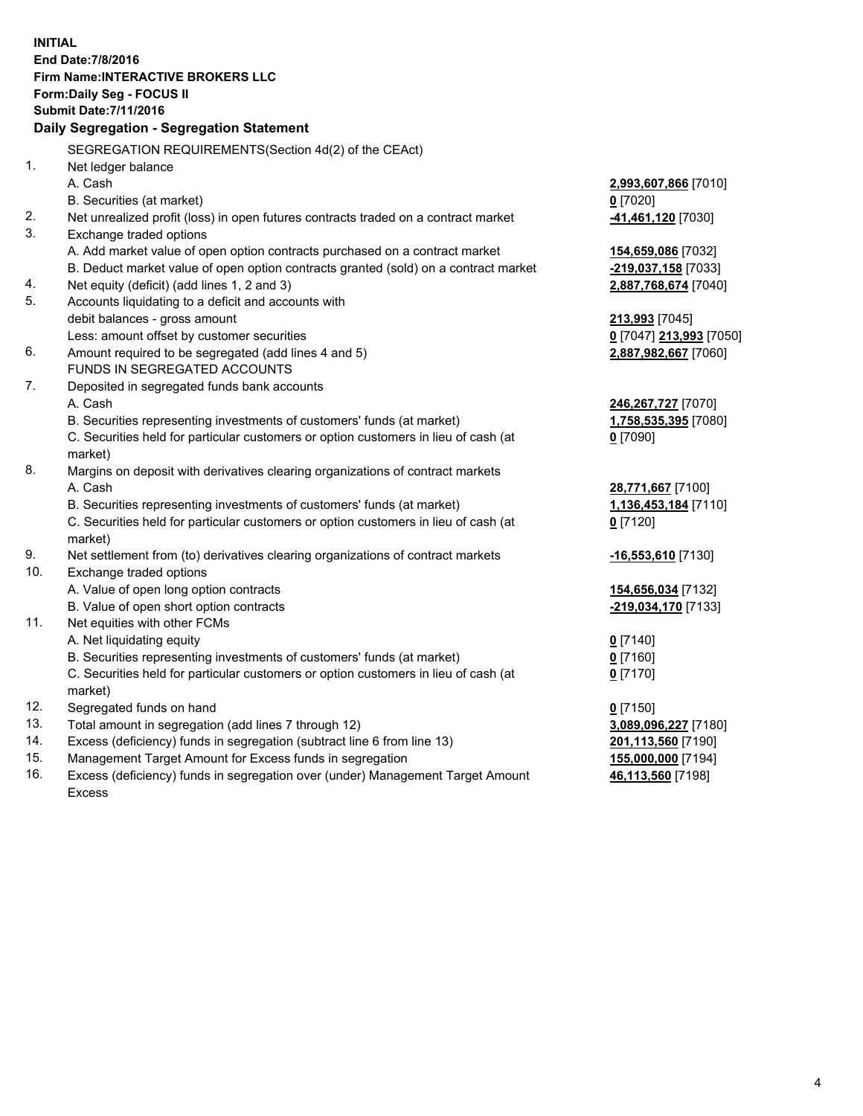**INITIAL End Date:7/8/2016 Firm Name:INTERACTIVE BROKERS LLC Form:Daily Seg - FOCUS II Submit Date:7/11/2016 Daily Segregation - Segregation Statement** SEGREGATION REQUIREMENTS(Section 4d(2) of the CEAct) 1. Net ledger balance A. Cash **2,993,607,866** [7010] B. Securities (at market) **0** [7020] 2. Net unrealized profit (loss) in open futures contracts traded on a contract market **-41,461,120** [7030] 3. Exchange traded options A. Add market value of open option contracts purchased on a contract market **154,659,086** [7032] B. Deduct market value of open option contracts granted (sold) on a contract market **-219,037,158** [7033] 4. Net equity (deficit) (add lines 1, 2 and 3) **2,887,768,674** [7040] 5. Accounts liquidating to a deficit and accounts with debit balances - gross amount **213,993** [7045] Less: amount offset by customer securities **0** [7047] **213,993** [7050] 6. Amount required to be segregated (add lines 4 and 5) **2,887,982,667** [7060] FUNDS IN SEGREGATED ACCOUNTS 7. Deposited in segregated funds bank accounts A. Cash **246,267,727** [7070] B. Securities representing investments of customers' funds (at market) **1,758,535,395** [7080] C. Securities held for particular customers or option customers in lieu of cash (at market) **0** [7090] 8. Margins on deposit with derivatives clearing organizations of contract markets A. Cash **28,771,667** [7100] B. Securities representing investments of customers' funds (at market) **1,136,453,184** [7110] C. Securities held for particular customers or option customers in lieu of cash (at market) **0** [7120] 9. Net settlement from (to) derivatives clearing organizations of contract markets **-16,553,610** [7130] 10. Exchange traded options A. Value of open long option contracts **154,656,034** [7132] B. Value of open short option contracts **-219,034,170** [7133] 11. Net equities with other FCMs A. Net liquidating equity **0** [7140] B. Securities representing investments of customers' funds (at market) **0** [7160] C. Securities held for particular customers or option customers in lieu of cash (at market) **0** [7170] 12. Segregated funds on hand **0** [7150] 13. Total amount in segregation (add lines 7 through 12) **3,089,096,227** [7180] 14. Excess (deficiency) funds in segregation (subtract line 6 from line 13) **201,113,560** [7190] 15. Management Target Amount for Excess funds in segregation **155,000,000** [7194]

16. Excess (deficiency) funds in segregation over (under) Management Target Amount Excess

**46,113,560** [7198]